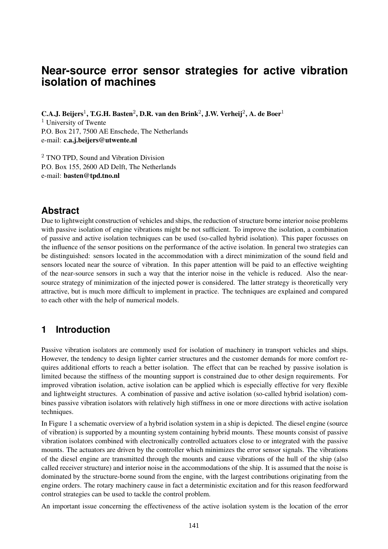# **Near-source error sensor strategies for active vibration isolation of machines**

 $\mathbf{C.A.J.}$  Beijers<sup>1</sup>, T.G.H. Basten<sup>2</sup>, D.R. van den Brink<sup>2</sup>, J.W. Verheij<sup>2</sup>, A. de Boer<sup>1</sup> <sup>1</sup> University of Twente P.O. Box 217, 7500 AE Enschede, The Netherlands e-mail: **c.a.j.beijers@utwente.nl**

<sup>2</sup> TNO TPD, Sound and Vibration Division P.O. Box 155, 2600 AD Delft, The Netherlands e-mail: **basten@tpd.tno.nl**

## **Abstract**

Due to lightweight construction of vehicles and ships, the reduction of structure borne interior noise problems with passive isolation of engine vibrations might be not sufficient. To improve the isolation, a combination of passive and active isolation techniques can be used (so-called hybrid isolation). This paper focusses on the influence of the sensor positions on the performance of the active isolation. In general two strategies can be distinguished: sensors located in the accommodation with a direct minimization of the sound field and sensors located near the source of vibration. In this paper attention will be paid to an effective weighting of the near-source sensors in such a way that the interior noise in the vehicle is reduced. Also the nearsource strategy of minimization of the injected power is considered. The latter strategy is theoretically very attractive, but is much more difficult to implement in practice. The techniques are explained and compared to each other with the help of numerical models.

## **1 Introduction**

Passive vibration isolators are commonly used for isolation of machinery in transport vehicles and ships. However, the tendency to design lighter carrier structures and the customer demands for more comfort requires additional efforts to reach a better isolation. The effect that can be reached by passive isolation is limited because the stiffness of the mounting support is constrained due to other design requirements. For improved vibration isolation, active isolation can be applied which is especially effective for very flexible and lightweight structures. A combination of passive and active isolation (so-called hybrid isolation) combines passive vibration isolators with relatively high stiffness in one or more directions with active isolation techniques.

In Figure 1 a schematic overview of a hybrid isolation system in a ship is depicted. The diesel engine (source of vibration) is supported by a mounting system containing hybrid mounts. These mounts consist of passive vibration isolators combined with electronically controlled actuators close to or integrated with the passive mounts. The actuators are driven by the controller which minimizes the error sensor signals. The vibrations of the diesel engine are transmitted through the mounts and cause vibrations of the hull of the ship (also called receiver structure) and interior noise in the accommodations of the ship. It is assumed that the noise is dominated by the structure-borne sound from the engine, with the largest contributions originating from the engine orders. The rotary machinery cause in fact a deterministic excitation and for this reason feedforward control strategies can be used to tackle the control problem.

An important issue concerning the effectiveness of the active isolation system is the location of the error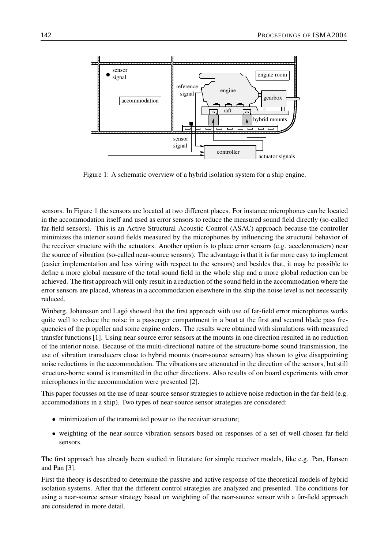

Figure 1: A schematic overview of a hybrid isolation system for a ship engine.

sensors. In Figure 1 the sensors are located at two different places. For instance microphones can be located in the accommodation itself and used as error sensors to reduce the measured sound field directly (so-called far-field sensors). This is an Active Structural Acoustic Control (ASAC) approach because the controller minimizes the interior sound fields measured by the microphones by influencing the structural behavior of the receiver structure with the actuators. Another option is to place error sensors (e.g. accelerometers) near the source of vibration (so-called near-source sensors). The advantage is that it is far more easy to implement (easier implementation and less wiring with respect to the sensors) and besides that, it may be possible to define a more global measure of the total sound field in the whole ship and a more global reduction can be achieved. The first approach will only result in a reduction of the sound field in the accommodation where the error sensors are placed, whereas in a accommodation elsewhere in the ship the noise level is not necessarily reduced.

Winberg, Johansson and Lago showed that the first approach with use of far-field error microphones works quite well to reduce the noise in a passenger compartment in a boat at the first and second blade pass frequencies of the propeller and some engine orders. The results were obtained with simulations with measured transfer functions [1]. Using near-source error sensors at the mounts in one direction resulted in no reduction of the interior noise. Because of the multi-directional nature of the structure-borne sound transmission, the use of vibration transducers close to hybrid mounts (near-source sensors) has shown to give disappointing noise reductions in the accommodation. The vibrations are attenuated in the direction of the sensors, but still structure-borne sound is transmitted in the other directions. Also results of on board experiments with error microphones in the accommodation were presented [2].

This paper focusses on the use of near-source sensor strategies to achieve noise reduction in the far-field (e.g. accommodations in a ship). Two types of near-source sensor strategies are considered:

- minimization of the transmitted power to the receiver structure;
- weighting of the near-source vibration sensors based on responses of a set of well-chosen far-field sensors.

The first approach has already been studied in literature for simple receiver models, like e.g. Pan, Hansen and Pan [3].

First the theory is described to determine the passive and active response of the theoretical models of hybrid isolation systems. After that the different control strategies are analyzed and presented. The conditions for using a near-source sensor strategy based on weighting of the near-source sensor with a far-field approach are considered in more detail.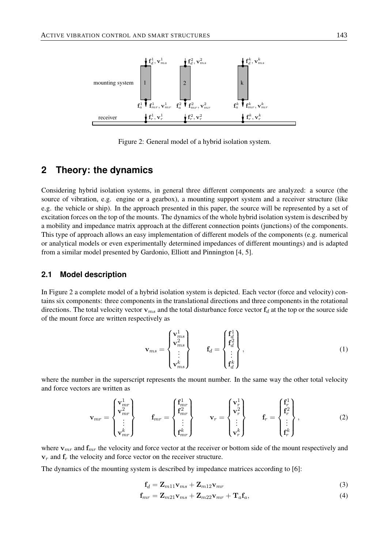

Figure 2: General model of a hybrid isolation system.

## **2 Theory: the dynamics**

Considering hybrid isolation systems, in general three different components are analyzed: a source (the source of vibration, e.g. engine or a gearbox), a mounting support system and a receiver structure (like e.g. the vehicle or ship). In the approach presented in this paper, the source will be represented by a set of excitation forces on the top of the mounts. The dynamics of the whole hybrid isolation system is described by a mobility and impedance matrix approach at the different connection points (junctions) of the components. This type of approach allows an easy implementation of different models of the components (e.g. numerical or analytical models or even experimentally determined impedances of different mountings) and is adapted from a similar model presented by Gardonio, Elliott and Pinnington [4, 5].

### **2.1 Model description**

In Figure 2 a complete model of a hybrid isolation system is depicted. Each vector (force and velocity) contains six components: three components in the translational directions and three components in the rotational directions. The total velocity vector  $v_{ms}$  and the total disturbance force vector  $f_d$  at the top or the source side of the mount force are written respectively as

$$
\mathbf{v}_{ms} = \begin{Bmatrix} \mathbf{v}_{ms}^1 \\ \mathbf{v}_{ms}^2 \\ \vdots \\ \mathbf{v}_{ms}^k \end{Bmatrix} \qquad \mathbf{f}_d = \begin{Bmatrix} \mathbf{f}_{d}^1 \\ \mathbf{f}_{d}^2 \\ \vdots \\ \mathbf{f}_{d}^k \end{Bmatrix}, \qquad (1)
$$

where the number in the superscript represents the mount number. In the same way the other total velocity and force vectors are written as

$$
\mathbf{v}_{mr} = \begin{Bmatrix} \mathbf{v}_{mr}^{1} \\ \mathbf{v}_{mr}^{2} \\ \vdots \\ \mathbf{v}_{mr}^{k} \end{Bmatrix} \qquad \mathbf{f}_{mr} = \begin{Bmatrix} \mathbf{f}_{mr}^{1} \\ \mathbf{f}_{mr}^{2} \\ \vdots \\ \mathbf{f}_{mr}^{k} \end{Bmatrix} \qquad \mathbf{v}_{r} = \begin{Bmatrix} \mathbf{v}_{r}^{1} \\ \mathbf{v}_{r}^{2} \\ \vdots \\ \mathbf{v}_{r}^{k} \end{Bmatrix} \qquad \mathbf{f}_{r} = \begin{Bmatrix} \mathbf{f}_{r}^{1} \\ \mathbf{f}_{r}^{2} \\ \vdots \\ \mathbf{f}_{r}^{k} \end{Bmatrix}, \qquad (2)
$$

where  $v_{mr}$  and  $f_{mr}$  the velocity and force vector at the receiver or bottom side of the mount respectively and  $v_r$  and  $f_r$  the velocity and force vector on the receiver structure.

The dynamics of the mounting system is described by impedance matrices according to [6]:

$$
\mathbf{f}_d = \mathbf{Z}_{m11}\mathbf{v}_{ms} + \mathbf{Z}_{m12}\mathbf{v}_{mr} \tag{3}
$$

$$
\mathbf{f}_{mr} = \mathbf{Z}_{m21}\mathbf{v}_{ms} + \mathbf{Z}_{m22}\mathbf{v}_{mr} + \mathbf{T}_a\mathbf{f}_a,\tag{4}
$$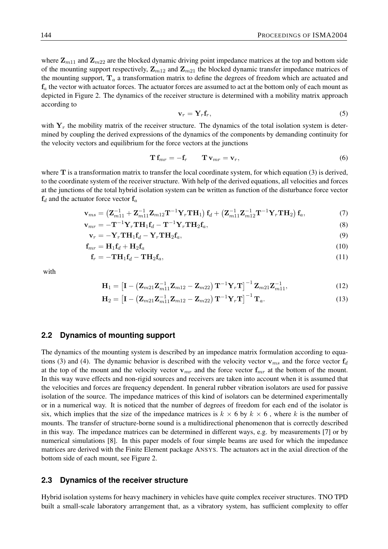where  $\mathbf{Z}_{m11}$  and  $\mathbf{Z}_{m22}$  are the blocked dynamic driving point impedance matrices at the top and bottom side of the mounting support respectively,  $\mathbf{Z}_{m12}$  and  $\mathbf{Z}_{m21}$  the blocked dynamic transfer impedance matrices of the mounting support,  $T_a$  a transformation matrix to define the degrees of freedom which are actuated and  $f_a$  the vector with actuator forces. The actuator forces are assumed to act at the bottom only of each mount as depicted in Figure 2. The dynamics of the receiver structure is determined with a mobility matrix approach according to

$$
\mathbf{v}_r = \mathbf{Y}_r \mathbf{f}_r,\tag{5}
$$

with  $Y_r$  the mobility matrix of the receiver structure. The dynamics of the total isolation system is determined by coupling the derived expressions of the dynamics of the components by demanding continuity for the velocity vectors and equilibrium for the force vectors at the junctions

$$
\mathbf{T} \mathbf{f}_{mr} = -\mathbf{f}_r \qquad \mathbf{T} \mathbf{v}_{mr} = \mathbf{v}_r, \tag{6}
$$

where  $T$  is a transformation matrix to transfer the local coordinate system, for which equation (3) is derived, to the coordinate system of the receiver structure. With help of the derived equations, all velocities and forces at the junctions of the total hybrid isolation system can be written as function of the disturbance force vector  $f_d$  and the actuator force vector  $f_a$ 

$$
\mathbf{v}_{ms} = \left(\mathbf{Z}_{m11}^{-1} + \mathbf{Z}_{m11}^{-1} \mathbf{Z}_{m12} \mathbf{T}^{-1} \mathbf{Y}_r \mathbf{T} \mathbf{H}_1\right) \mathbf{f}_d + \left(\mathbf{Z}_{m11}^{-1} \mathbf{Z}_{m12}^{-1} \mathbf{T}^{-1} \mathbf{Y}_r \mathbf{T} \mathbf{H}_2\right) \mathbf{f}_a,\tag{7}
$$

$$
\mathbf{v}_{mr} = -\mathbf{T}^{-1}\mathbf{Y}_r\mathbf{T}\mathbf{H}_1\mathbf{f}_d - \mathbf{T}^{-1}\mathbf{Y}_r\mathbf{T}\mathbf{H}_2\mathbf{f}_a,\tag{8}
$$

$$
\mathbf{v}_r = -\mathbf{Y}_r \mathbf{T} \mathbf{H}_1 \mathbf{f}_d - \mathbf{Y}_r \mathbf{T} \mathbf{H}_2 \mathbf{f}_a,\tag{9}
$$

$$
\mathbf{f}_{mr} = \mathbf{H}_1 \mathbf{f}_d + \mathbf{H}_2 \mathbf{f}_a \tag{10}
$$

$$
\mathbf{f}_r = -\mathbf{T} \mathbf{H}_1 \mathbf{f}_d - \mathbf{T} \mathbf{H}_2 \mathbf{f}_a,\tag{11}
$$

with

$$
\mathbf{H}_{1} = \left[\mathbf{I} - \left(\mathbf{Z}_{m21}\mathbf{Z}_{m11}^{-1}\mathbf{Z}_{m12} - \mathbf{Z}_{m22}\right)\mathbf{T}^{-1}\mathbf{Y}_{r}\mathbf{T}\right]^{-1}\mathbf{Z}_{m21}\mathbf{Z}_{m11}^{-1},\tag{12}
$$

$$
\mathbf{H}_2 = \left[ \mathbf{I} - \left( \mathbf{Z}_{m21} \mathbf{Z}_{m11}^{-1} \mathbf{Z}_{m12} - \mathbf{Z}_{m22} \right) \mathbf{T}^{-1} \mathbf{Y}_r \mathbf{T} \right]^{-1} \mathbf{T}_a.
$$
 (13)

#### **2.2 Dynamics of mounting support**

The dynamics of the mounting system is described by an impedance matrix formulation according to equations (3) and (4). The dynamic behavior is described with the velocity vector  $\mathbf{v}_{ms}$  and the force vector  $\mathbf{f}_d$ at the top of the mount and the velocity vector  $v_{mr}$  and the force vector  $f_{mr}$  at the bottom of the mount. In this way wave effects and non-rigid sources and receivers are taken into account when it is assumed that the velocities and forces are frequency dependent. In general rubber vibration isolators are used for passive isolation of the source. The impedance matrices of this kind of isolators can be determined experimentally or in a numerical way. It is noticed that the number of degrees of freedom for each end of the isolator is six, which implies that the size of the impedance matrices is  $k \times 6$  by  $k \times 6$ , where k is the number of mounts. The transfer of structure-borne sound is a multidirectional phenomenon that is correctly described in this way. The impedance matrices can be determined in different ways, e.g. by measurements [7] or by numerical simulations [8]. In this paper models of four simple beams are used for which the impedance matrices are derived with the Finite Element package ANSYS. The actuators act in the axial direction of the bottom side of each mount, see Figure 2.

#### **2.3 Dynamics of the receiver structure**

Hybrid isolation systems for heavy machinery in vehicles have quite complex receiver structures. TNO TPD built a small-scale laboratory arrangement that, as a vibratory system, has sufficient complexity to offer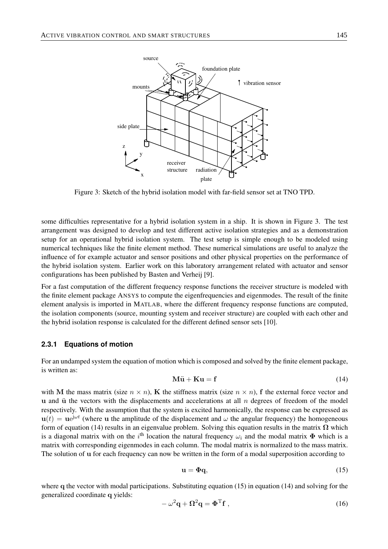

Figure 3: Sketch of the hybrid isolation model with far-field sensor set at TNO TPD.

some difficulties representative for a hybrid isolation system in a ship. It is shown in Figure 3. The test arrangement was designed to develop and test different active isolation strategies and as a demonstration setup for an operational hybrid isolation system. The test setup is simple enough to be modeled using numerical techniques like the finite element method. These numerical simulations are useful to analyze the influence of for example actuator and sensor positions and other physical properties on the performance of the hybrid isolation system. Earlier work on this laboratory arrangement related with actuator and sensor configurations has been published by Basten and Verheij [9].

For a fast computation of the different frequency response functions the receiver structure is modeled with the finite element package ANSYS to compute the eigenfrequencies and eigenmodes. The result of the finite element analysis is imported in MATLAB, where the different frequency response functions are computed, the isolation components (source, mounting system and receiver structure) are coupled with each other and the hybrid isolation response is calculated for the different defined sensor sets [10].

#### **2.3.1 Equations of motion**

For an undamped system the equation of motion which is composed and solved by the finite element package, is written as:

$$
M\ddot{u} + Ku = f \tag{14}
$$

with M the mass matrix (size  $n \times n$ ), K the stiffness matrix (size  $n \times n$ ), f the external force vector and u and  $\ddot{u}$  the vectors with the displacements and accelerations at all n degrees of freedom of the model respectively. With the assumption that the system is excited harmonically, the response can be expressed as  $u(t) = ue^{j\omega t}$  (where u the amplitude of the displacement and  $\omega$  the angular frequency) the homogeneous form of equation (14) results in an eigenvalue problem. Solving this equation results in the matrix  $\Omega$  which is a diagonal matrix with on the i<sup>th</sup> location the natural frequency  $\omega_i$  and the modal matrix  $\Phi$  which is a matrix with corresponding eigenmodes in each column. The modal matrix is normalized to the mass matrix. The solution of u for each frequency can now be written in the form of a modal superposition according to

$$
\mathbf{u} = \mathbf{\Phi}\mathbf{q},\tag{15}
$$

where q the vector with modal participations. Substituting equation (15) in equation (14) and solving for the generalized coordinate q yields:

$$
-\omega^2 \mathbf{q} + \mathbf{\Omega}^2 \mathbf{q} = \mathbf{\Phi}^{\mathrm{T}} \mathbf{f} \,, \tag{16}
$$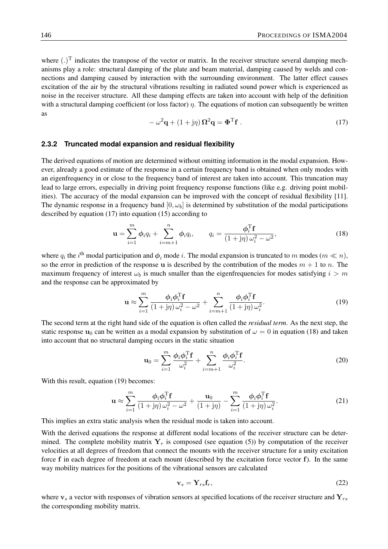where  $(.)^T$  indicates the transpose of the vector or matrix. In the receiver structure several damping mechanisms play a role: structural damping of the plate and beam material, damping caused by welds and connections and damping caused by interaction with the surrounding environment. The latter effect causes excitation of the air by the structural vibrations resulting in radiated sound power which is experienced as noise in the receiver structure. All these damping effects are taken into account with help of the definition with a structural damping coefficient (or loss factor)  $\eta$ . The equations of motion can subsequently be written as

$$
-\omega^2 \mathbf{q} + (1 + j\eta) \mathbf{\Omega}^2 \mathbf{q} = \mathbf{\Phi}^{\mathrm{T}} \mathbf{f} \,. \tag{17}
$$

#### **2.3.2 Truncated modal expansion and residual flexibility**

The derived equations of motion are determined without omitting information in the modal expansion. However, already a good estimate of the response in a certain frequency band is obtained when only modes with an eigenfrequency in or close to the frequency band of interest are taken into account. This truncation may lead to large errors, especially in driving point frequency response functions (like e.g. driving point mobilities). The accuracy of the modal expansion can be improved with the concept of residual flexibility [11]. The dynamic response in a frequency band  $[0, \omega_b]$  is determined by substitution of the modal participations described by equation (17) into equation (15) according to

$$
\mathbf{u} = \sum_{i=1}^{m} \phi_i q_i + \sum_{i=m+1}^{n} \phi_i q_i, \qquad q_i = \frac{\phi_i^{\mathrm{T}} \mathbf{f}}{(1+j\eta)\,\omega_i^2 - \omega^2},\tag{18}
$$

where  $q_i$  the  $i^{\text{th}}$  modal participation and  $\phi_i$  mode i. The modal expansion is truncated to m modes  $(m \ll n)$ , so the error in prediction of the response u is described by the contribution of the modes  $m + 1$  to n. The maximum frequency of interest  $\omega_b$  is much smaller than the eigenfrequencies for modes satisfying  $i > m$ and the response can be approximated by

$$
\mathbf{u} \approx \sum_{i=1}^{m} \frac{\phi_i \phi_i^{\mathrm{T}} \mathbf{f}}{(1+j\eta)\omega_i^2 - \omega^2} + \sum_{i=m+1}^{n} \frac{\phi_i \phi_i^{\mathrm{T}} \mathbf{f}}{(1+j\eta)\omega_i^2}.
$$
 (19)

The second term at the right hand side of the equation is often called the *residual term*. As the next step, the static response  $u_0$  can be written as a modal expansion by substitution of  $\omega = 0$  in equation (18) and taken into account that no structural damping occurs in the static situation

$$
\mathbf{u}_0 = \sum_{i=1}^m \frac{\phi_i \phi_i^{\mathrm{T}} \mathbf{f}}{\omega_i^2} + \sum_{i=m+1}^n \frac{\phi_i \phi_i^{\mathrm{T}} \mathbf{f}}{\omega_i^2}.
$$
 (20)

With this result, equation (19) becomes:

$$
\mathbf{u} \approx \sum_{i=1}^{m} \frac{\phi_i \phi_i^{\mathrm{T}} \mathbf{f}}{(1+j\eta)\omega_i^2 - \omega^2} + \frac{\mathbf{u}_0}{(1+j\eta)} - \sum_{i=1}^{m} \frac{\phi_i \phi_i^{\mathrm{T}} \mathbf{f}}{(1+j\eta)\omega_i^2}.
$$
 (21)

This implies an extra static analysis when the residual mode is taken into account.

With the derived equations the response at different nodal locations of the receiver structure can be determined. The complete mobility matrix  $Y_r$  is composed (see equation (5)) by computation of the receiver velocities at all degrees of freedom that connect the mounts with the receiver structure for a unity excitation force f in each degree of freedom at each mount (described by the excitation force vector f). In the same way mobility matrices for the positions of the vibrational sensors are calculated

$$
\mathbf{v}_s = \mathbf{Y}_{rs} \mathbf{f}_r,\tag{22}
$$

where  $v_s$  a vector with responses of vibration sensors at specified locations of the receiver structure and  $Y_{rs}$ the corresponding mobility matrix.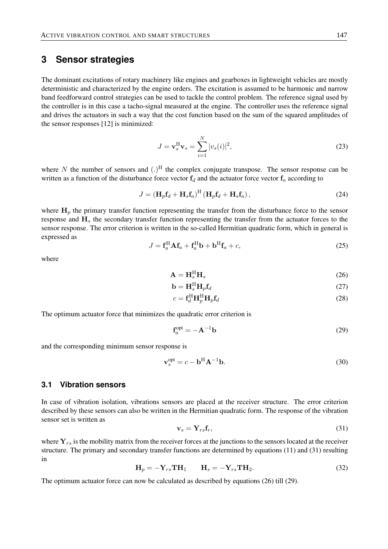## **3 Sensor strategies**

The dominant excitations of rotary machinery like engines and gearboxes in lightweight vehicles are mostly deterministic and characterized by the engine orders. The excitation is assumed to be harmonic and narrow band feedforward control strategies can be used to tackle the control problem. The reference signal used by the controller is in this case a tacho-signal measured at the engine. The controller uses the reference signal and drives the actuators in such a way that the cost function based on the sum of the squared amplitudes of the sensor responses [12] is minimized:

$$
J = \mathbf{v}_s^{\mathrm{H}} \mathbf{v}_s = \sum_{i=1}^{N} |v_s(i)|^2,
$$
\n(23)

where N the number of sensors and  $(.)^H$  the complex conjugate transpose. The sensor response can be written as a function of the disturbance force vector  $f_d$  and the actuator force vector  $f_a$  according to

$$
J = \left(\mathbf{H}_p \mathbf{f}_d + \mathbf{H}_s \mathbf{f}_a\right)^{\mathrm{H}} \left(\mathbf{H}_p \mathbf{f}_d + \mathbf{H}_s \mathbf{f}_a\right),\tag{24}
$$

where  $H_p$  the primary transfer function representing the transfer from the disturbance force to the sensor response and  $H<sub>s</sub>$  the secondary transfer function representing the transfer from the actuator forces to the sensor response. The error criterion is written in the so-called Hermitian quadratic form, which in general is expressed as

$$
J = \mathbf{f}_a^{\mathrm{H}} \mathbf{A} \mathbf{f}_a + \mathbf{f}_a^{\mathrm{H}} \mathbf{b} + \mathbf{b}^{\mathrm{H}} \mathbf{f}_a + c,\tag{25}
$$

where

$$
\mathbf{A} = \mathbf{H}_s^{\mathrm{H}} \mathbf{H}_s \tag{26}
$$

$$
\mathbf{b} = \mathbf{H}_s^{\mathrm{H}} \mathbf{H}_p \mathbf{f}_d \tag{27}
$$

$$
c = \mathbf{f}_d^{\mathrm{H}} \mathbf{H}_p^{\mathrm{H}} \mathbf{H}_p \mathbf{f}_d \tag{28}
$$

The optimum actuator force that minimizes the quadratic error criterion is

$$
\mathbf{f}_a^{\text{opt}} = -\mathbf{A}^{-1}\mathbf{b} \tag{29}
$$

and the corresponding minimum sensor response is

$$
\mathbf{v}_s^{\text{opt}} = c - \mathbf{b}^{\text{H}} \mathbf{A}^{-1} \mathbf{b}.
$$
 (30)

### **3.1 Vibration sensors**

In case of vibration isolation, vibrations sensors are placed at the receiver structure. The error criterion described by these sensors can also be written in the Hermitian quadratic form. The response of the vibration sensor set is written as

$$
\mathbf{v}_s = \mathbf{Y}_{rs} \mathbf{f}_r,\tag{31}
$$

where  $Y_{rs}$  is the mobility matrix from the receiver forces at the junctions to the sensors located at the receiver structure. The primary and secondary transfer functions are determined by equations (11) and (31) resulting in

$$
\mathbf{H}_p = -\mathbf{Y}_{rs}\mathbf{T}\mathbf{H}_1 \qquad \mathbf{H}_s = -\mathbf{Y}_{rs}\mathbf{T}\mathbf{H}_2. \tag{32}
$$

The optimum actuator force can now be calculated as described by equations (26) till (29).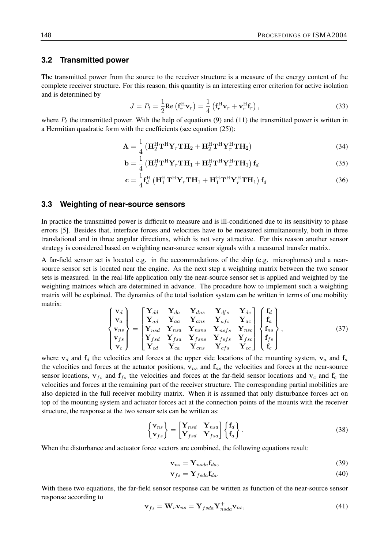#### **3.2 Transmitted power**

The transmitted power from the source to the receiver structure is a measure of the energy content of the complete receiver structure. For this reason, this quantity is an interesting error criterion for active isolation and is determined by

$$
J = P_t = \frac{1}{2} \text{Re} \left( \mathbf{f}_r^{\text{H}} \mathbf{v}_r \right) = \frac{1}{4} \left( \mathbf{f}_r^{\text{H}} \mathbf{v}_r + \mathbf{v}_r^{\text{H}} \mathbf{f}_r \right), \tag{33}
$$

where  $P_t$  the transmitted power. With the help of equations (9) and (11) the transmitted power is written in a Hermitian quadratic form with the coefficients (see equation (25)):

$$
\mathbf{A} = \frac{1}{4} \left( \mathbf{H}_2^{\mathrm{H}} \mathbf{T}^{\mathrm{H}} \mathbf{Y}_r \mathbf{T} \mathbf{H}_2 + \mathbf{H}_2^{\mathrm{H}} \mathbf{T}^{\mathrm{H}} \mathbf{Y}_r^{\mathrm{H}} \mathbf{T} \mathbf{H}_2 \right)
$$
(34)

$$
\mathbf{b} = \frac{1}{4} \left( \mathbf{H}_{2}^{\mathrm{H}} \mathbf{T}^{\mathrm{H}} \mathbf{Y}_{r} \mathbf{T} \mathbf{H}_{1} + \mathbf{H}_{2}^{\mathrm{H}} \mathbf{T}^{\mathrm{H}} \mathbf{Y}_{r}^{\mathrm{H}} \mathbf{T} \mathbf{H}_{1} \right) \mathbf{f}_{d}
$$
(35)

$$
\mathbf{c} = \frac{1}{4} \mathbf{f}_d^{\mathrm{H}} \left( \mathbf{H}_1^{\mathrm{H}} \mathbf{T}^{\mathrm{H}} \mathbf{Y}_r \mathbf{T} \mathbf{H}_1 + \mathbf{H}_1^{\mathrm{H}} \mathbf{T}^{\mathrm{H}} \mathbf{Y}_r^{\mathrm{H}} \mathbf{T} \mathbf{H}_1 \right) \mathbf{f}_d \tag{36}
$$

#### **3.3 Weighting of near-source sensors**

In practice the transmitted power is difficult to measure and is ill-conditioned due to its sensitivity to phase errors [5]. Besides that, interface forces and velocities have to be measured simultaneously, both in three translational and in three angular directions, which is not very attractive. For this reason another sensor strategy is considered based on weighting near-source sensor signals with a measured transfer matrix.

A far-field sensor set is located e.g. in the accommodations of the ship (e.g. microphones) and a nearsource sensor set is located near the engine. As the next step a weighting matrix between the two sensor sets is measured. In the real-life application only the near-source sensor set is applied and weighted by the weighting matrices which are determined in advance. The procedure how to implement such a weighting matrix will be explained. The dynamics of the total isolation system can be written in terms of one mobility matrix:

$$
\begin{Bmatrix}\n\mathbf{v}_d \\
\mathbf{v}_a \\
\mathbf{v}_{ns} \\
\mathbf{v}_{fs} \\
\mathbf{v}_c\n\end{Bmatrix} = \begin{bmatrix}\n\mathbf{Y}_{dd} & \mathbf{Y}_{da} & \mathbf{Y}_{dns} & \mathbf{Y}_{dfs} & \mathbf{Y}_{dc} \\
\mathbf{Y}_{ad} & \mathbf{Y}_{aa} & \mathbf{Y}_{ans} & \mathbf{Y}_{afs} & \mathbf{Y}_{ac} \\
\mathbf{Y}_{nsd} & \mathbf{Y}_{nsa} & \mathbf{Y}_{nsns} & \mathbf{Y}_{nsfs} & \mathbf{Y}_{nsc} \\
\mathbf{Y}_{fsd} & \mathbf{Y}_{fsa} & \mathbf{Y}_{fsns} & \mathbf{Y}_{fsfs} & \mathbf{Y}_{fsc} \\
\mathbf{Y}_{cd} & \mathbf{Y}_{ca} & \mathbf{Y}_{cns} & \mathbf{Y}_{css} & \mathbf{Y}_{cc}\n\end{bmatrix} \begin{Bmatrix}\n\mathbf{f}_d \\
\mathbf{f}_a \\
\mathbf{f}_{ns} \\
\mathbf{f}_{fs} \\
\mathbf{f}_s \\
\mathbf{f}_s \\
\mathbf{f}_c\n\end{Bmatrix},
$$
\n(37)

where  $v_d$  and  $f_d$  the velocities and forces at the upper side locations of the mounting system,  $v_a$  and  $f_a$ the velocities and forces at the actuator positions,  $v_{ns}$  and  $f_{ns}$  the velocities and forces at the near-source sensor locations,  $v_{fs}$  and  $f_{fs}$  the velocities and forces at the far-field sensor locations and  $v_c$  and  $f_c$  the velocities and forces at the remaining part of the receiver structure. The corresponding partial mobilities are also depicted in the full receiver mobility matrix. When it is assumed that only disturbance forces act on top of the mounting system and actuator forces act at the connection points of the mounts with the receiver structure, the response at the two sensor sets can be written as:

$$
\begin{Bmatrix} \mathbf{v}_{ns} \\ \mathbf{v}_{fs} \end{Bmatrix} = \begin{bmatrix} \mathbf{Y}_{nsd} & \mathbf{Y}_{nsa} \\ \mathbf{Y}_{fsd} & \mathbf{Y}_{fsa} \end{bmatrix} \begin{Bmatrix} \mathbf{f}_d \\ \mathbf{f}_a \end{Bmatrix} . \tag{38}
$$

When the disturbance and actuator force vectors are combined, the following equations result:

$$
\mathbf{v}_{ns} = \mathbf{Y}_{nsda} \mathbf{f}_{da},\tag{39}
$$

$$
\mathbf{v}_{fs} = \mathbf{Y}_{fsda}\mathbf{f}_{da}.\tag{40}
$$

With these two equations, the far-field sensor response can be written as function of the near-source sensor response according to

$$
\mathbf{v}_{fs} = \mathbf{W}_v \mathbf{v}_{ns} = \mathbf{Y}_{fsda} \mathbf{Y}_{nsda}^+ \mathbf{v}_{ns},\tag{41}
$$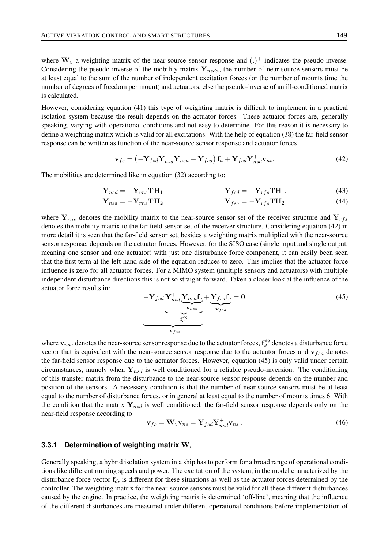where  $W_v$  a weighting matrix of the near-source sensor response and  $(.)^+$  indicates the pseudo-inverse. Considering the pseudo-inverse of the mobility matrix  $Y_{nsda}$ , the number of near-source sensors must be at least equal to the sum of the number of independent excitation forces (or the number of mounts time the number of degrees of freedom per mount) and actuators, else the pseudo-inverse of an ill-conditioned matrix is calculated.

However, considering equation (41) this type of weighting matrix is difficult to implement in a practical isolation system because the result depends on the actuator forces. These actuator forces are, generally speaking, varying with operational conditions and not easy to determine. For this reason it is necessary to define a weighting matrix which is valid for all excitations. With the help of equation (38) the far-field sensor response can be written as function of the near-source sensor response and actuator forces

$$
\mathbf{v}_{fs} = \left(-\mathbf{Y}_{fsd}\mathbf{Y}_{nsd}^{+}\mathbf{Y}_{nsa} + \mathbf{Y}_{fsa}\right)\mathbf{f}_{a} + \mathbf{Y}_{fsd}\mathbf{Y}_{nsd}^{+}\mathbf{v}_{ns}.
$$
\n(42)

The mobilities are determined like in equation (32) according to:

$$
\mathbf{Y}_{nsd} = -\mathbf{Y}_{rms}\mathbf{TH}_1 \qquad \qquad \mathbf{Y}_{fsd} = -\mathbf{Y}_{rfs}\mathbf{TH}_1,\tag{43}
$$

$$
\mathbf{Y}_{nsa} = -\mathbf{Y}_{rns} \mathbf{TH}_2 \qquad \qquad \mathbf{Y}_{fsa} = -\mathbf{Y}_{rfs} \mathbf{TH}_2,\tag{44}
$$

where  $Y_{rms}$  denotes the mobility matrix to the near-source sensor set of the receiver structure and  $Y_{rms}$ denotes the mobility matrix to the far-field sensor set of the receiver structure. Considering equation (42) in more detail it is seen that the far-field sensor set, besides a weighting matrix multiplied with the near-source sensor response, depends on the actuator forces. However, for the SISO case (single input and single output, meaning one sensor and one actuator) with just one disturbance force component, it can easily been seen that the first term at the left-hand side of the equation reduces to zero. This implies that the actuator force influence is zero for all actuator forces. For a MIMO system (multiple sensors and actuators) with multiple independent disturbance directions this is not so straight-forward. Taken a closer look at the influence of the actuator force results in:

$$
-\mathbf{Y}_{fsd}\mathbf{Y}_{nsd}^{+}\underbrace{\mathbf{Y}_{nsa}\mathbf{f}_{a}}_{\mathbf{Y}_{nsa}} + \underbrace{\mathbf{Y}_{fsa}\mathbf{f}_{a}}_{\mathbf{Y}_{fsa}} = \mathbf{0},
$$
\n
$$
(45)
$$

where  $\mathbf{v}_{nsa}$  denotes the near-source sensor response due to the actuator forces,  $\mathbf{f}_d^{eq}$  $\mathcal{C}_d^{eq}$  denotes a disturbance force vector that is equivalent with the near-source sensor response due to the actuator forces and  $v_{fsa}$  denotes the far-field sensor response due to the actuator forces. However, equation (45) is only valid under certain circumstances, namely when  $Y_{nsd}$  is well conditioned for a reliable pseudo-inversion. The conditioning of this transfer matrix from the disturbance to the near-source sensor response depends on the number and position of the sensors. A necessary condition is that the number of near-source sensors must be at least equal to the number of disturbance forces, or in general at least equal to the number of mounts times 6. With the condition that the matrix  $Y_{nsd}$  is well conditioned, the far-field sensor response depends only on the near-field response according to

$$
\mathbf{v}_{fs} = \mathbf{W}_v \mathbf{v}_{ns} = \mathbf{Y}_{fsd} \mathbf{Y}_{nsd}^+ \mathbf{v}_{ns} \,. \tag{46}
$$

#### **3.3.1 Determination of weighting matrix** W<sub>v</sub>

Generally speaking, a hybrid isolation system in a ship has to perform for a broad range of operational conditions like different running speeds and power. The excitation of the system, in the model characterized by the disturbance force vector  $f_d$ , is different for these situations as well as the actuator forces determined by the controller. The weighting matrix for the near-source sensors must be valid for all these different disturbances caused by the engine. In practice, the weighting matrix is determined 'off-line', meaning that the influence of the different disturbances are measured under different operational conditions before implementation of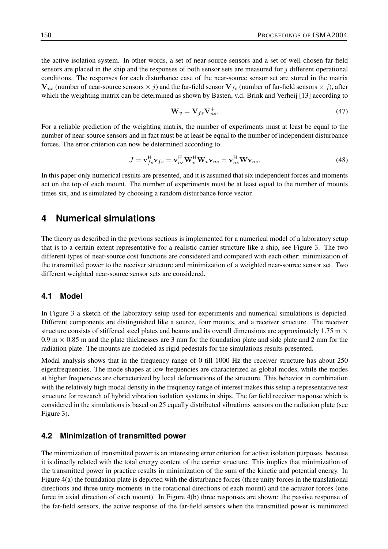the active isolation system. In other words, a set of near-source sensors and a set of well-chosen far-field sensors are placed in the ship and the responses of both sensor sets are measured for  $\dot{\gamma}$  different operational conditions. The responses for each disturbance case of the near-source sensor set are stored in the matrix  $V_{ns}$  (number of near-source sensors  $\times j$ ) and the far-field sensor  $V_{fs}$  (number of far-field sensors  $\times j$ ), after which the weighting matrix can be determined as shown by Basten, v.d. Brink and Verheij [13] according to

$$
\mathbf{W}_v = \mathbf{V}_{fs} \mathbf{V}_{ns}^+.
$$
\n(47)

For a reliable prediction of the weighting matrix, the number of experiments must at least be equal to the number of near-source sensors and in fact must be at least be equal to the number of independent disturbance forces. The error criterion can now be determined according to

$$
J = \mathbf{v}_{fs}^{\mathrm{H}} \mathbf{v}_{fs} = \mathbf{v}_{ns}^{\mathrm{H}} \mathbf{W}_{v}^{\mathrm{H}} \mathbf{W}_{v} \mathbf{v}_{ns} = \mathbf{v}_{ns}^{\mathrm{H}} \mathbf{W} \mathbf{v}_{ns}.
$$
 (48)

In this paper only numerical results are presented, and it is assumed that six independent forces and moments act on the top of each mount. The number of experiments must be at least equal to the number of mounts times six, and is simulated by choosing a random disturbance force vector.

## **4 Numerical simulations**

The theory as described in the previous sections is implemented for a numerical model of a laboratory setup that is to a certain extent representative for a realistic carrier structure like a ship, see Figure 3. The two different types of near-source cost functions are considered and compared with each other: minimization of the transmitted power to the receiver structure and minimization of a weighted near-source sensor set. Two different weighted near-source sensor sets are considered.

### **4.1 Model**

In Figure 3 a sketch of the laboratory setup used for experiments and numerical simulations is depicted. Different components are distinguished like a source, four mounts, and a receiver structure. The receiver structure consists of stiffened steel plates and beams and its overall dimensions are approximately 1.75 m  $\times$  $0.9 \text{ m} \times 0.85 \text{ m}$  and the plate thicknesses are 3 mm for the foundation plate and side plate and 2 mm for the radiation plate. The mounts are modeled as rigid pedestals for the simulations results presented.

Modal analysis shows that in the frequency range of 0 till 1000 Hz the receiver structure has about 250 eigenfrequencies. The mode shapes at low frequencies are characterized as global modes, while the modes at higher frequencies are characterized by local deformations of the structure. This behavior in combination with the relatively high modal density in the frequency range of interest makes this setup a representative test structure for research of hybrid vibration isolation systems in ships. The far field receiver response which is considered in the simulations is based on 25 equally distributed vibrations sensors on the radiation plate (see Figure 3).

## **4.2 Minimization of transmitted power**

The minimization of transmitted power is an interesting error criterion for active isolation purposes, because it is directly related with the total energy content of the carrier structure. This implies that minimization of the transmitted power in practice results in minimization of the sum of the kinetic and potential energy. In Figure 4(a) the foundation plate is depicted with the disturbance forces (three unity forces in the translational directions and three unity moments in the rotational directions of each mount) and the actuator forces (one force in axial direction of each mount). In Figure 4(b) three responses are shown: the passive response of the far-field sensors, the active response of the far-field sensors when the transmitted power is minimized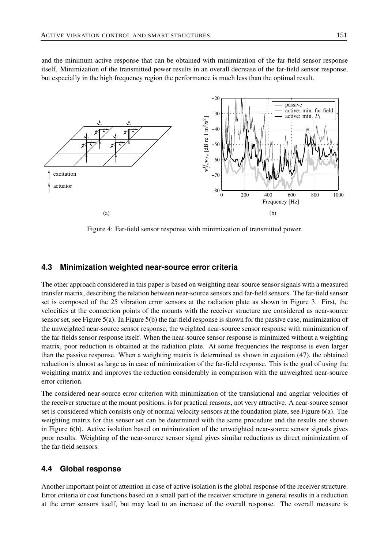and the minimum active response that can be obtained with minimization of the far-field sensor response itself. Minimization of the transmitted power results in an overall decrease of the far-field sensor response, but especially in the high frequency region the performance is much less than the optimal result.



Figure 4: Far-field sensor response with minimization of transmitted power.

#### **4.3 Minimization weighted near-source error criteria**

The other approach considered in this paper is based on weighting near-source sensor signals with a measured transfer matrix, describing the relation between near-source sensors and far-field sensors. The far-field sensor set is composed of the 25 vibration error sensors at the radiation plate as shown in Figure 3. First, the velocities at the connection points of the mounts with the receiver structure are considered as near-source sensor set, see Figure 5(a). In Figure 5(b) the far-field response is shown for the passive case, minimization of the unweighted near-source sensor response, the weighted near-source sensor response with minimization of the far-fields sensor response itself. When the near-source sensor response is minimized without a weighting matrix, poor reduction is obtained at the radiation plate. At some frequencies the response is even larger than the passive response. When a weighting matrix is determined as shown in equation (47), the obtained reduction is almost as large as in case of minimization of the far-field response. This is the goal of using the weighting matrix and improves the reduction considerably in comparison with the unweighted near-source error criterion.

The considered near-source error criterion with minimization of the translational and angular velocities of the receiver structure at the mount positions, is for practical reasons, not very attractive. A near-source sensor set is considered which consists only of normal velocity sensors at the foundation plate, see Figure 6(a). The weighting matrix for this sensor set can be determined with the same procedure and the results are shown in Figure 6(b). Active isolation based on minimization of the unweighted near-source sensor signals gives poor results. Weighting of the near-source sensor signal gives similar reductions as direct minimization of the far-field sensors.

### **4.4 Global response**

Another important point of attention in case of active isolation is the global response of the receiver structure. Error criteria or cost functions based on a small part of the receiver structure in general results in a reduction at the error sensors itself, but may lead to an increase of the overall response. The overall measure is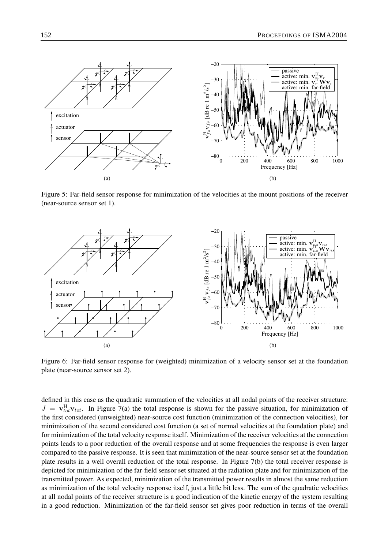

Figure 5: Far-field sensor response for minimization of the velocities at the mount positions of the receiver (near-source sensor set 1).



Figure 6: Far-field sensor response for (weighted) minimization of a velocity sensor set at the foundation plate (near-source sensor set 2).

defined in this case as the quadratic summation of the velocities at all nodal points of the receiver structure:  $J = \mathbf{v}_{tot}^H \mathbf{v}_{tot}$ . In Figure 7(a) the total response is shown for the passive situation, for minimization of the first considered (unweighted) near-source cost function (minimization of the connection velocities), for minimization of the second considered cost function (a set of normal velocities at the foundation plate) and for minimization of the total velocity response itself. Minimization of the receiver velocities at the connection points leads to a poor reduction of the overall response and at some frequencies the response is even larger compared to the passive response. It is seen that minimization of the near-source sensor set at the foundation plate results in a well overall reduction of the total response. In Figure 7(b) the total receiver response is depicted for minimization of the far-field sensor set situated at the radiation plate and for minimization of the transmitted power. As expected, minimization of the transmitted power results in almost the same reduction as minimization of the total velocity response itself, just a little bit less. The sum of the quadratic velocities at all nodal points of the receiver structure is a good indication of the kinetic energy of the system resulting in a good reduction. Minimization of the far-field sensor set gives poor reduction in terms of the overall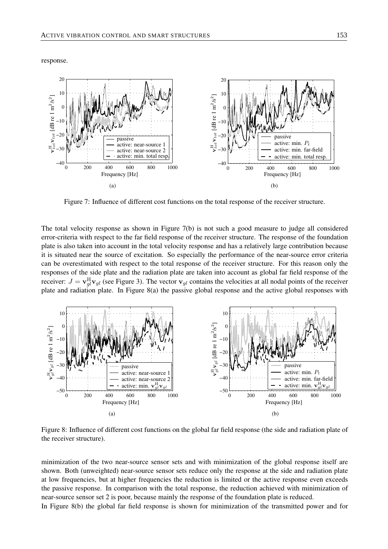response.



Figure 7: Influence of different cost functions on the total response of the receiver structure.

The total velocity response as shown in Figure 7(b) is not such a good measure to judge all considered error-criteria with respect to the far field response of the receiver structure. The response of the foundation plate is also taken into account in the total velocity response and has a relatively large contribution because it is situated near the source of excitation. So especially the performance of the near-source error criteria can be overestimated with respect to the total response of the receiver structure. For this reason only the responses of the side plate and the radiation plate are taken into account as global far field response of the receiver:  $J = \mathbf{v}_{gl}^H \mathbf{v}_{gl}$  (see Figure 3). The vector  $\mathbf{v}_{gl}$  contains the velocities at all nodal points of the receiver plate and radiation plate. In Figure 8(a) the passive global response and the active global responses with



Figure 8: Influence of different cost functions on the global far field response (the side and radiation plate of the receiver structure).

minimization of the two near-source sensor sets and with minimization of the global response itself are shown. Both (unweighted) near-source sensor sets reduce only the response at the side and radiation plate at low frequencies, but at higher frequencies the reduction is limited or the active response even exceeds the passive response. In comparison with the total response, the reduction achieved with minimization of near-source sensor set 2 is poor, because mainly the response of the foundation plate is reduced. In Figure 8(b) the global far field response is shown for minimization of the transmitted power and for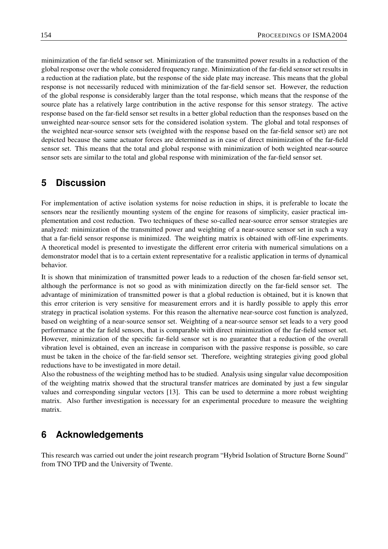minimization of the far-field sensor set. Minimization of the transmitted power results in a reduction of the global response over the whole considered frequency range. Minimization of the far-field sensor set results in a reduction at the radiation plate, but the response of the side plate may increase. This means that the global response is not necessarily reduced with minimization of the far-field sensor set. However, the reduction of the global response is considerably larger than the total response, which means that the response of the source plate has a relatively large contribution in the active response for this sensor strategy. The active response based on the far-field sensor set results in a better global reduction than the responses based on the unweighted near-source sensor sets for the considered isolation system. The global and total responses of the weighted near-source sensor sets (weighted with the response based on the far-field sensor set) are not depicted because the same actuator forces are determined as in case of direct minimization of the far-field sensor set. This means that the total and global response with minimization of both weighted near-source sensor sets are similar to the total and global response with minimization of the far-field sensor set.

## **5 Discussion**

For implementation of active isolation systems for noise reduction in ships, it is preferable to locate the sensors near the resiliently mounting system of the engine for reasons of simplicity, easier practical implementation and cost reduction. Two techniques of these so-called near-source error sensor strategies are analyzed: minimization of the transmitted power and weighting of a near-source sensor set in such a way that a far-field sensor response is minimized. The weighting matrix is obtained with off-line experiments. A theoretical model is presented to investigate the different error criteria with numerical simulations on a demonstrator model that is to a certain extent representative for a realistic application in terms of dynamical behavior.

It is shown that minimization of transmitted power leads to a reduction of the chosen far-field sensor set, although the performance is not so good as with minimization directly on the far-field sensor set. The advantage of minimization of transmitted power is that a global reduction is obtained, but it is known that this error criterion is very sensitive for measurement errors and it is hardly possible to apply this error strategy in practical isolation systems. For this reason the alternative near-source cost function is analyzed, based on weighting of a near-source sensor set. Weighting of a near-source sensor set leads to a very good performance at the far field sensors, that is comparable with direct minimization of the far-field sensor set. However, minimization of the specific far-field sensor set is no guarantee that a reduction of the overall vibration level is obtained, even an increase in comparison with the passive response is possible, so care must be taken in the choice of the far-field sensor set. Therefore, weighting strategies giving good global reductions have to be investigated in more detail.

Also the robustness of the weighting method has to be studied. Analysis using singular value decomposition of the weighting matrix showed that the structural transfer matrices are dominated by just a few singular values and corresponding singular vectors [13]. This can be used to determine a more robust weighting matrix. Also further investigation is necessary for an experimental procedure to measure the weighting matrix.

## **6 Acknowledgements**

This research was carried out under the joint research program "Hybrid Isolation of Structure Borne Sound" from TNO TPD and the University of Twente.